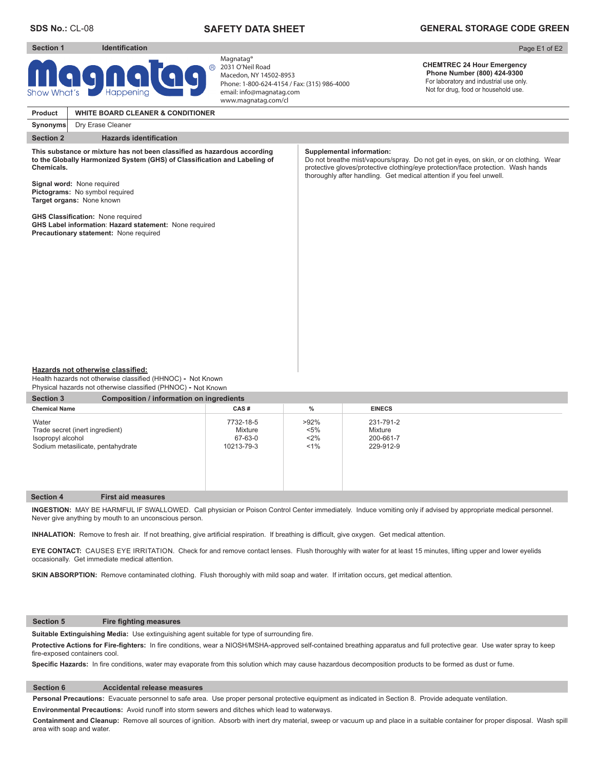**Section 1 Identification** 

# **SAFETY DATA SHEET**

# **GENERAL STORAGE CODE GREEN**

#### Page E1 of E2

# $\circledR$ GN

Magnatag® 2031 O'Neil Road Macedon, NY 14502-8953 Phone: 1-800-624-4154 / Fax: (315) 986-4000 email: info@magnatag.com www.magnatag.com/cl

#### **CHEMTREC 24 Hour Emergency Phone Number (800) 424-9300**  For laboratory and industrial use only. Not for drug, food or household use.

**Section 2** Hazards identification **Product Synonyms ALDON WHITE BOARD CLEANER WHITE BOARD CLEANER & CONDITIONER** Dry Erase Cleaner This substance or mixture has not been classified as hazardous according to the Globally Harmonized System (GHS) of Classification and Labeling of **Chemicals. Signal word:** None required **Pictograms:** No symbol required **Target organs:** None known **GHS Classification: None required GHS Label information**: **Hazard statement:** None required **Precautionary statement:** None required **Supplemental information:** Do not breathe mist/vapours/spray. Do not get in eyes, on skin, or on clothing. Wear protective gloves/protective clothing/eye protection/face protection. Wash hands thoroughly after handling. Get medical attention if you feel unwell.

#### **Hazards not otherwise classified:**

Health hazards not otherwise classified (HHNOC) - Not Known Physical hazards not otherwise classified (PHNOC) **-** Not Known

| <b>Composition / information on ingredients</b><br><b>Section 3</b>                                |                                               |                                      |                                                |  |  |  |  |  |
|----------------------------------------------------------------------------------------------------|-----------------------------------------------|--------------------------------------|------------------------------------------------|--|--|--|--|--|
| <b>Chemical Name</b>                                                                               | CAS#                                          | %                                    | <b>EINECS</b>                                  |  |  |  |  |  |
| Water<br>Trade secret (inert ingredient)<br>Isopropyl alcohol<br>Sodium metasilicate, pentahydrate | 7732-18-5<br>Mixture<br>67-63-0<br>10213-79-3 | $>92\%$<br>$< 5\%$<br>$2\%$<br>$1\%$ | 231-791-2<br>Mixture<br>200-661-7<br>229-912-9 |  |  |  |  |  |

## **Section 4 First aid measures**

**INGESTION:** MAY BE HARMFUL IF SWALLOWED. Call physician or Poison Control Center immediately. Induce vomiting only if advised by appropriate medical personnel. Never give anything by mouth to an unconscious person.

INHALATION: Remove to fresh air. If not breathing, give artificial respiration. If breathing is difficult, give oxygen. Get medical attention.

**EYE CONTACT:** CAUSES EYE IRRITATION. Check for and remove contact lenses. Flush thoroughly with water for at least 15 minutes, lifting upper and lower eyelids occasionally. Get immediate medical attention.

**SKIN ABSORPTION:** Remove contaminated clothing. Flush thoroughly with mild soap and water. If irritation occurs, get medical attention.

#### **Section 5** Fire fighting measures

Suitable Extinguishing Media: Use extinguishing agent suitable for type of surrounding fire.

Protective Actions for Fire-fighters: In fire conditions, wear a NIOSH/MSHA-approved self-contained breathing apparatus and full protective gear. Use water spray to keep fire-exposed containers cool.

Specific Hazards: In fire conditions, water may evaporate from this solution which may cause hazardous decomposition products to be formed as dust or fume.

## **Section 6 Accidental release measures**

**Personal Precautions:** Evacuate personnel to safe area. Use proper personal protective equipment as indicated in Section 8. Provide adequate ventilation.

**Environmental Precautions:** Avoid runoff into storm sewers and ditches which lead to waterways.

**Containment and Cleanup:** Remove all sources of ignition. Absorb with inert dry material, sweep or vacuum up and place in a suitable container for proper disposal. Wash spill area with soap and water.